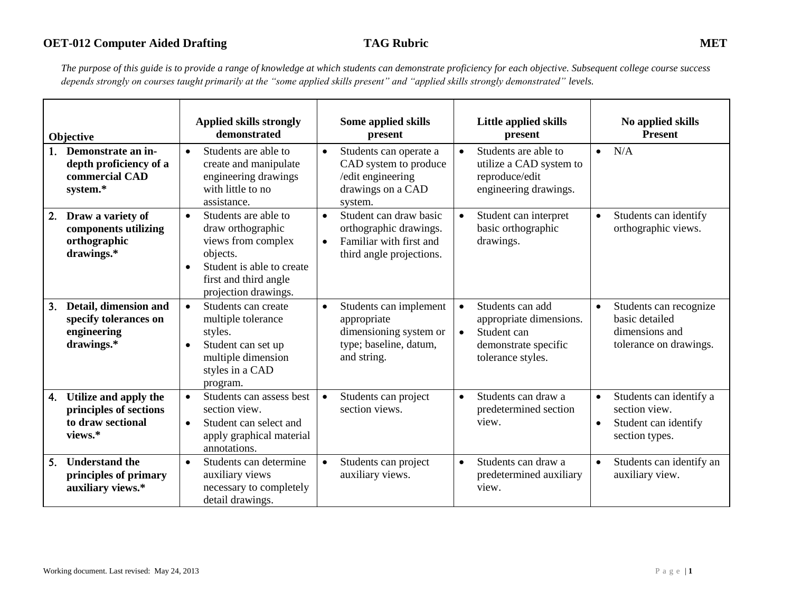*The purpose of this guide is to provide a range of knowledge at which students can demonstrate proficiency for each objective. Subsequent college course success depends strongly on courses taught primarily at the "some applied skills present" and "applied skills strongly demonstrated" levels.* 

| Objective                                                                             | <b>Applied skills strongly</b><br>demonstrated                                                                                                                                      | Some applied skills<br>present                                                                                                    | Little applied skills<br>present                                                                                                  | No applied skills<br><b>Present</b>                                                                          |
|---------------------------------------------------------------------------------------|-------------------------------------------------------------------------------------------------------------------------------------------------------------------------------------|-----------------------------------------------------------------------------------------------------------------------------------|-----------------------------------------------------------------------------------------------------------------------------------|--------------------------------------------------------------------------------------------------------------|
| Demonstrate an in-<br>depth proficiency of a<br>commercial CAD<br>system.*            | Students are able to<br>$\bullet$<br>create and manipulate<br>engineering drawings<br>with little to no<br>assistance.                                                              | Students can operate a<br>$\bullet$<br>CAD system to produce<br>/edit engineering<br>drawings on a CAD<br>system.                 | Students are able to<br>$\bullet$<br>utilize a CAD system to<br>reproduce/edit<br>engineering drawings.                           | N/A<br>$\bullet$                                                                                             |
| Draw a variety of<br>2.<br>components utilizing<br>orthographic<br>drawings.*         | Students are able to<br>$\bullet$<br>draw orthographic<br>views from complex<br>objects.<br>Student is able to create<br>$\bullet$<br>first and third angle<br>projection drawings. | Student can draw basic<br>$\bullet$<br>orthographic drawings.<br>Familiar with first and<br>$\bullet$<br>third angle projections. | Student can interpret<br>basic orthographic<br>drawings.                                                                          | Students can identify<br>$\bullet$<br>orthographic views.                                                    |
| Detail, dimension and<br>3.<br>specify tolerances on<br>engineering<br>drawings.*     | Students can create<br>$\bullet$<br>multiple tolerance<br>styles.<br>Student can set up<br>multiple dimension<br>styles in a CAD<br>program.                                        | Students can implement<br>$\bullet$<br>appropriate<br>dimensioning system or<br>type; baseline, datum,<br>and string.             | Students can add<br>$\bullet$<br>appropriate dimensions.<br>Student can<br>$\bullet$<br>demonstrate specific<br>tolerance styles. | Students can recognize<br>$\bullet$<br>basic detailed<br>dimensions and<br>tolerance on drawings.            |
| Utilize and apply the<br>4.<br>principles of sections<br>to draw sectional<br>views.* | Students can assess best<br>$\bullet$<br>section view.<br>Student can select and<br>$\bullet$<br>apply graphical material<br>annotations.                                           | Students can project<br>$\bullet$<br>section views.                                                                               | Students can draw a<br>$\bullet$<br>predetermined section<br>view.                                                                | Students can identify a<br>$\bullet$<br>section view.<br>Student can identify<br>$\bullet$<br>section types. |
| <b>Understand the</b><br>5.<br>principles of primary<br>auxiliary views.*             | Students can determine<br>$\bullet$<br>auxiliary views<br>necessary to completely<br>detail drawings.                                                                               | Students can project<br>$\bullet$<br>auxiliary views.                                                                             | Students can draw a<br>$\bullet$<br>predetermined auxiliary<br>view.                                                              | Students can identify an<br>$\bullet$<br>auxiliary view.                                                     |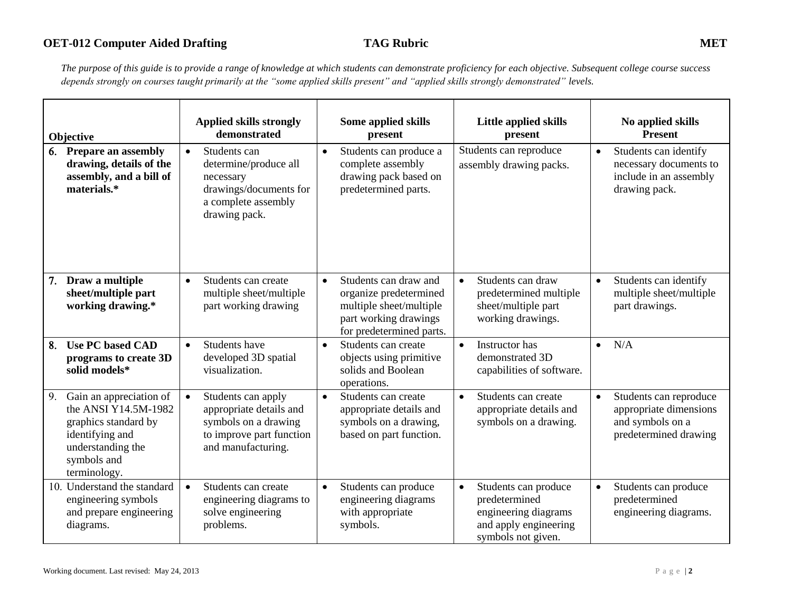# **OET-012 Computer Aided Drafting TAG Rubric MET**

*The purpose of this guide is to provide a range of knowledge at which students can demonstrate proficiency for each objective. Subsequent college course success depends strongly on courses taught primarily at the "some applied skills present" and "applied skills strongly demonstrated" levels.* 

| Objective                                                                                                                                            | <b>Applied skills strongly</b><br>demonstrated                                                                                       | Some applied skills<br>present                                                                                                               | Little applied skills<br>present                                                                                          | No applied skills<br><b>Present</b>                                                                        |
|------------------------------------------------------------------------------------------------------------------------------------------------------|--------------------------------------------------------------------------------------------------------------------------------------|----------------------------------------------------------------------------------------------------------------------------------------------|---------------------------------------------------------------------------------------------------------------------------|------------------------------------------------------------------------------------------------------------|
| <b>Prepare an assembly</b><br>6.<br>drawing, details of the<br>assembly, and a bill of<br>materials.*                                                | Students can<br>$\bullet$<br>determine/produce all<br>necessary<br>drawings/documents for<br>a complete assembly<br>drawing pack.    | Students can produce a<br>$\bullet$<br>complete assembly<br>drawing pack based on<br>predetermined parts.                                    | Students can reproduce<br>assembly drawing packs.                                                                         | Students can identify<br>$\bullet$<br>necessary documents to<br>include in an assembly<br>drawing pack.    |
| Draw a multiple<br>7.<br>sheet/multiple part<br>working drawing.*                                                                                    | Students can create<br>$\bullet$<br>multiple sheet/multiple<br>part working drawing                                                  | Students can draw and<br>$\bullet$<br>organize predetermined<br>multiple sheet/multiple<br>part working drawings<br>for predetermined parts. | Students can draw<br>$\bullet$<br>predetermined multiple<br>sheet/multiple part<br>working drawings.                      | Students can identify<br>$\bullet$<br>multiple sheet/multiple<br>part drawings.                            |
| <b>Use PC based CAD</b><br>8.<br>programs to create 3D<br>solid models*                                                                              | Students have<br>$\bullet$<br>developed 3D spatial<br>visualization.                                                                 | Students can create<br>$\bullet$<br>objects using primitive<br>solids and Boolean<br>operations.                                             | Instructor has<br>$\bullet$<br>demonstrated 3D<br>capabilities of software.                                               | N/A<br>$\bullet$                                                                                           |
| Gain an appreciation of<br>9.<br>the ANSI Y14.5M-1982<br>graphics standard by<br>identifying and<br>understanding the<br>symbols and<br>terminology. | Students can apply<br>$\bullet$<br>appropriate details and<br>symbols on a drawing<br>to improve part function<br>and manufacturing. | Students can create<br>$\bullet$<br>appropriate details and<br>symbols on a drawing,<br>based on part function.                              | Students can create<br>$\bullet$<br>appropriate details and<br>symbols on a drawing.                                      | Students can reproduce<br>$\bullet$<br>appropriate dimensions<br>and symbols on a<br>predetermined drawing |
| 10. Understand the standard<br>engineering symbols<br>and prepare engineering<br>diagrams.                                                           | Students can create<br>$\bullet$<br>engineering diagrams to<br>solve engineering<br>problems.                                        | Students can produce<br>$\bullet$<br>engineering diagrams<br>with appropriate<br>symbols.                                                    | Students can produce<br>$\bullet$<br>predetermined<br>engineering diagrams<br>and apply engineering<br>symbols not given. | Students can produce<br>$\bullet$<br>predetermined<br>engineering diagrams.                                |